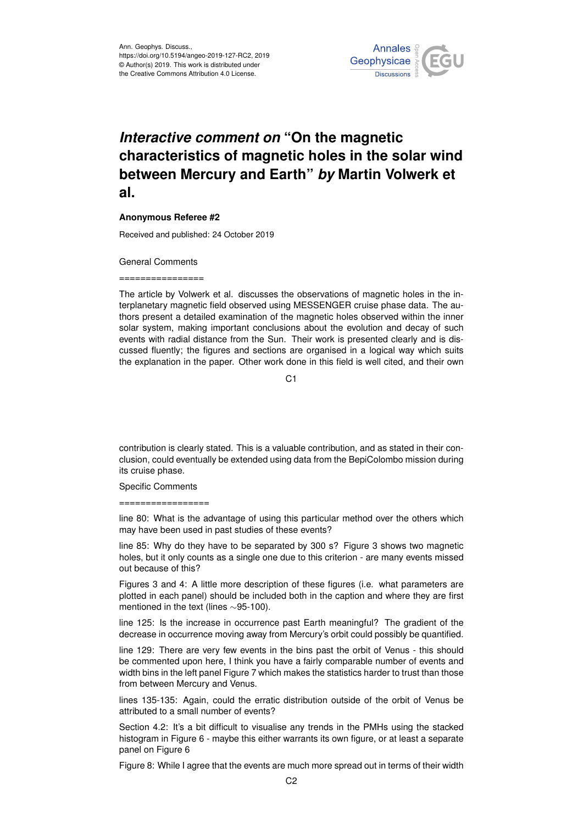

## *Interactive comment on* **"On the magnetic characteristics of magnetic holes in the solar wind between Mercury and Earth"** *by* **Martin Volwerk et al.**

## **Anonymous Referee #2**

Received and published: 24 October 2019

General Comments

================

The article by Volwerk et al. discusses the observations of magnetic holes in the interplanetary magnetic field observed using MESSENGER cruise phase data. The authors present a detailed examination of the magnetic holes observed within the inner solar system, making important conclusions about the evolution and decay of such events with radial distance from the Sun. Their work is presented clearly and is discussed fluently; the figures and sections are organised in a logical way which suits the explanation in the paper. Other work done in this field is well cited, and their own

 $C<sub>1</sub>$ 

contribution is clearly stated. This is a valuable contribution, and as stated in their conclusion, could eventually be extended using data from the BepiColombo mission during its cruise phase.

Specific Comments

=================

line 80: What is the advantage of using this particular method over the others which may have been used in past studies of these events?

line 85: Why do they have to be separated by 300 s? Figure 3 shows two magnetic holes, but it only counts as a single one due to this criterion - are many events missed out because of this?

Figures 3 and 4: A little more description of these figures (i.e. what parameters are plotted in each panel) should be included both in the caption and where they are first mentioned in the text (lines ∼95-100).

line 125: Is the increase in occurrence past Earth meaningful? The gradient of the decrease in occurrence moving away from Mercury's orbit could possibly be quantified.

line 129: There are very few events in the bins past the orbit of Venus - this should be commented upon here, I think you have a fairly comparable number of events and width bins in the left panel Figure 7 which makes the statistics harder to trust than those from between Mercury and Venus.

lines 135-135: Again, could the erratic distribution outside of the orbit of Venus be attributed to a small number of events?

Section 4.2: It's a bit difficult to visualise any trends in the PMHs using the stacked histogram in Figure 6 - maybe this either warrants its own figure, or at least a separate panel on Figure 6

Figure 8: While I agree that the events are much more spread out in terms of their width